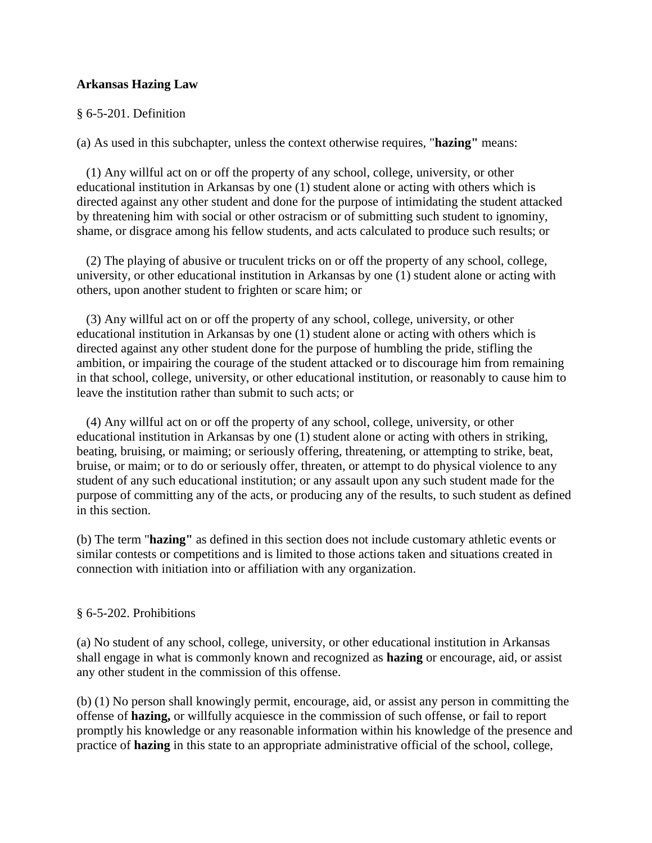## **Arkansas Hazing Law**

#### § 6-5-201. Definition

(a) As used in this subchapter, unless the context otherwise requires, "**hazing"** means:

 (1) Any willful act on or off the property of any school, college, university, or other educational institution in Arkansas by one (1) student alone or acting with others which is directed against any other student and done for the purpose of intimidating the student attacked by threatening him with social or other ostracism or of submitting such student to ignominy, shame, or disgrace among his fellow students, and acts calculated to produce such results; or

 (2) The playing of abusive or truculent tricks on or off the property of any school, college, university, or other educational institution in Arkansas by one (1) student alone or acting with others, upon another student to frighten or scare him; or

 (3) Any willful act on or off the property of any school, college, university, or other educational institution in Arkansas by one (1) student alone or acting with others which is directed against any other student done for the purpose of humbling the pride, stifling the ambition, or impairing the courage of the student attacked or to discourage him from remaining in that school, college, university, or other educational institution, or reasonably to cause him to leave the institution rather than submit to such acts; or

 (4) Any willful act on or off the property of any school, college, university, or other educational institution in Arkansas by one (1) student alone or acting with others in striking, beating, bruising, or maiming; or seriously offering, threatening, or attempting to strike, beat, bruise, or maim; or to do or seriously offer, threaten, or attempt to do physical violence to any student of any such educational institution; or any assault upon any such student made for the purpose of committing any of the acts, or producing any of the results, to such student as defined in this section.

(b) The term "**hazing"** as defined in this section does not include customary athletic events or similar contests or competitions and is limited to those actions taken and situations created in connection with initiation into or affiliation with any organization.

#### § 6-5-202. Prohibitions

(a) No student of any school, college, university, or other educational institution in Arkansas shall engage in what is commonly known and recognized as **hazing** or encourage, aid, or assist any other student in the commission of this offense.

(b) (1) No person shall knowingly permit, encourage, aid, or assist any person in committing the offense of **hazing,** or willfully acquiesce in the commission of such offense, or fail to report promptly his knowledge or any reasonable information within his knowledge of the presence and practice of **hazing** in this state to an appropriate administrative official of the school, college,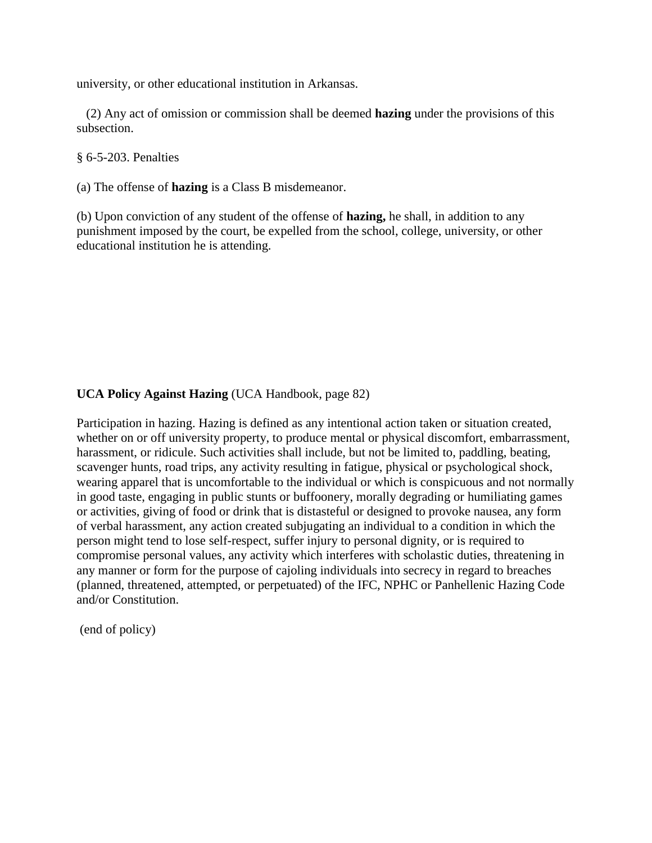university, or other educational institution in Arkansas.

 (2) Any act of omission or commission shall be deemed **hazing** under the provisions of this subsection.

§ 6-5-203. Penalties

(a) The offense of **hazing** is a Class B misdemeanor.

(b) Upon conviction of any student of the offense of **hazing,** he shall, in addition to any punishment imposed by the court, be expelled from the school, college, university, or other educational institution he is attending.

## **UCA Policy Against Hazing** (UCA Handbook, page 82)

Participation in hazing. Hazing is defined as any intentional action taken or situation created, whether on or off university property, to produce mental or physical discomfort, embarrassment, harassment, or ridicule. Such activities shall include, but not be limited to, paddling, beating, scavenger hunts, road trips, any activity resulting in fatigue, physical or psychological shock, wearing apparel that is uncomfortable to the individual or which is conspicuous and not normally in good taste, engaging in public stunts or buffoonery, morally degrading or humiliating games or activities, giving of food or drink that is distasteful or designed to provoke nausea, any form of verbal harassment, any action created subjugating an individual to a condition in which the person might tend to lose self-respect, suffer injury to personal dignity, or is required to compromise personal values, any activity which interferes with scholastic duties, threatening in any manner or form for the purpose of cajoling individuals into secrecy in regard to breaches (planned, threatened, attempted, or perpetuated) of the IFC, NPHC or Panhellenic Hazing Code and/or Constitution.

(end of policy)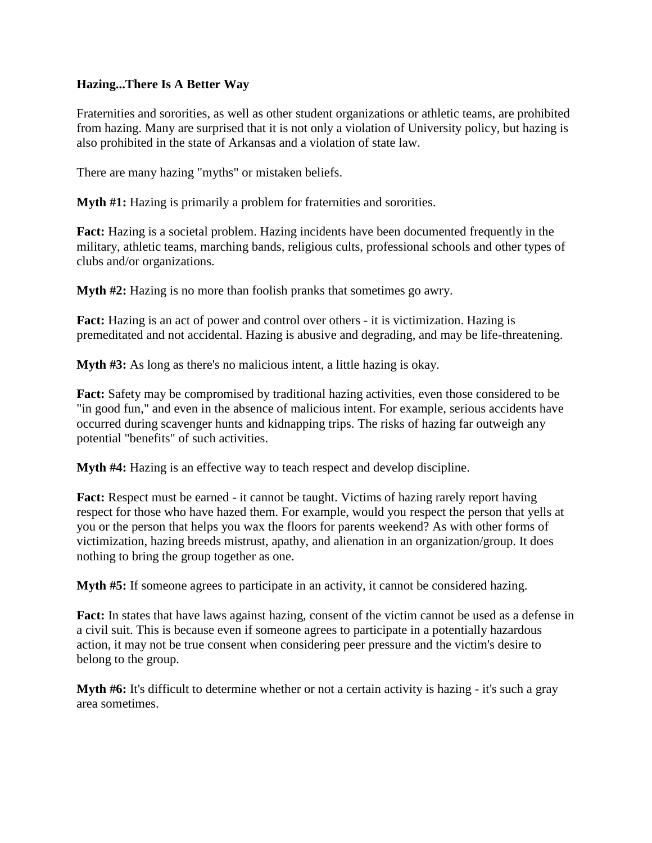## **Hazing...There Is A Better Way**

Fraternities and sororities, as well as other student organizations or athletic teams, are prohibited from hazing. Many are surprised that it is not only a violation of University policy, but hazing is also prohibited in the state of Arkansas and a violation of state law.

There are many hazing "myths" or mistaken beliefs.

**Myth #1:** Hazing is primarily a problem for fraternities and sororities.

**Fact:** Hazing is a societal problem. Hazing incidents have been documented frequently in the military, athletic teams, marching bands, religious cults, professional schools and other types of clubs and/or organizations.

**Myth #2:** Hazing is no more than foolish pranks that sometimes go awry.

**Fact:** Hazing is an act of power and control over others - it is victimization. Hazing is premeditated and not accidental. Hazing is abusive and degrading, and may be life-threatening.

**Myth #3:** As long as there's no malicious intent, a little hazing is okay.

**Fact:** Safety may be compromised by traditional hazing activities, even those considered to be "in good fun," and even in the absence of malicious intent. For example, serious accidents have occurred during scavenger hunts and kidnapping trips. The risks of hazing far outweigh any potential "benefits" of such activities.

**Myth #4:** Hazing is an effective way to teach respect and develop discipline.

**Fact:** Respect must be earned - it cannot be taught. Victims of hazing rarely report having respect for those who have hazed them. For example, would you respect the person that yells at you or the person that helps you wax the floors for parents weekend? As with other forms of victimization, hazing breeds mistrust, apathy, and alienation in an organization/group. It does nothing to bring the group together as one.

**Myth #5:** If someone agrees to participate in an activity, it cannot be considered hazing.

**Fact:** In states that have laws against hazing, consent of the victim cannot be used as a defense in a civil suit. This is because even if someone agrees to participate in a potentially hazardous action, it may not be true consent when considering peer pressure and the victim's desire to belong to the group.

**Myth #6:** It's difficult to determine whether or not a certain activity is hazing - it's such a gray area sometimes.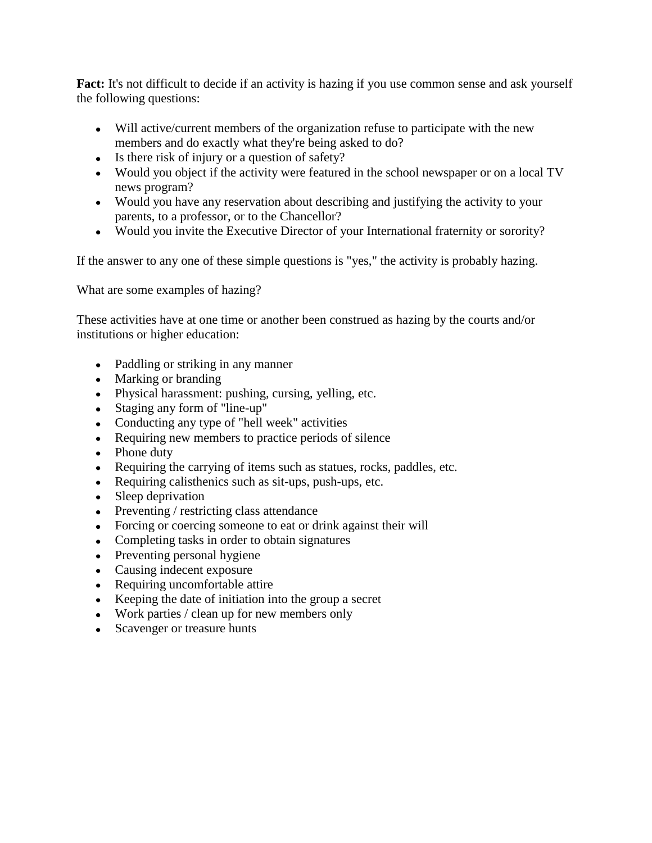**Fact:** It's not difficult to decide if an activity is hazing if you use common sense and ask yourself the following questions:

- Will active/current members of the organization refuse to participate with the new members and do exactly what they're being asked to do?
- Is there risk of injury or a question of safety?
- Would you object if the activity were featured in the school newspaper or on a local TV news program?
- Would you have any reservation about describing and justifying the activity to your parents, to a professor, or to the Chancellor?
- Would you invite the Executive Director of your International fraternity or sorority?

If the answer to any one of these simple questions is "yes," the activity is probably hazing.

What are some examples of hazing?

These activities have at one time or another been construed as hazing by the courts and/or institutions or higher education:

- Paddling or striking in any manner
- Marking or branding
- Physical harassment: pushing, cursing, yelling, etc.
- Staging any form of "line-up"
- Conducting any type of "hell week" activities
- Requiring new members to practice periods of silence
- Phone duty
- Requiring the carrying of items such as statues, rocks, paddles, etc.
- Requiring calisthenics such as sit-ups, push-ups, etc.
- Sleep deprivation
- Preventing / restricting class attendance
- Forcing or coercing someone to eat or drink against their will
- Completing tasks in order to obtain signatures
- Preventing personal hygiene
- Causing indecent exposure
- Requiring uncomfortable attire
- Keeping the date of initiation into the group a secret
- Work parties / clean up for new members only
- Scavenger or treasure hunts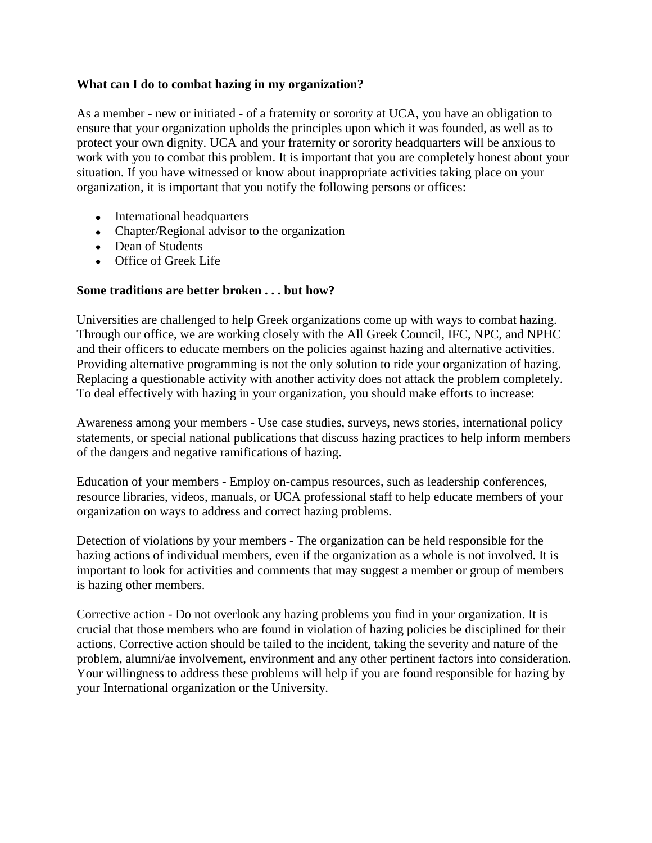#### **What can I do to combat hazing in my organization?**

As a member - new or initiated - of a fraternity or sorority at UCA, you have an obligation to ensure that your organization upholds the principles upon which it was founded, as well as to protect your own dignity. UCA and your fraternity or sorority headquarters will be anxious to work with you to combat this problem. It is important that you are completely honest about your situation. If you have witnessed or know about inappropriate activities taking place on your organization, it is important that you notify the following persons or offices:

- International headquarters
- Chapter/Regional advisor to the organization
- Dean of Students
- Office of Greek Life

## **Some traditions are better broken . . . but how?**

Universities are challenged to help Greek organizations come up with ways to combat hazing. Through our office, we are working closely with the All Greek Council, IFC, NPC, and NPHC and their officers to educate members on the policies against hazing and alternative activities. Providing alternative programming is not the only solution to ride your organization of hazing. Replacing a questionable activity with another activity does not attack the problem completely. To deal effectively with hazing in your organization, you should make efforts to increase:

Awareness among your members - Use case studies, surveys, news stories, international policy statements, or special national publications that discuss hazing practices to help inform members of the dangers and negative ramifications of hazing.

Education of your members - Employ on-campus resources, such as leadership conferences, resource libraries, videos, manuals, or UCA professional staff to help educate members of your organization on ways to address and correct hazing problems.

Detection of violations by your members - The organization can be held responsible for the hazing actions of individual members, even if the organization as a whole is not involved. It is important to look for activities and comments that may suggest a member or group of members is hazing other members.

Corrective action - Do not overlook any hazing problems you find in your organization. It is crucial that those members who are found in violation of hazing policies be disciplined for their actions. Corrective action should be tailed to the incident, taking the severity and nature of the problem, alumni/ae involvement, environment and any other pertinent factors into consideration. Your willingness to address these problems will help if you are found responsible for hazing by your International organization or the University.